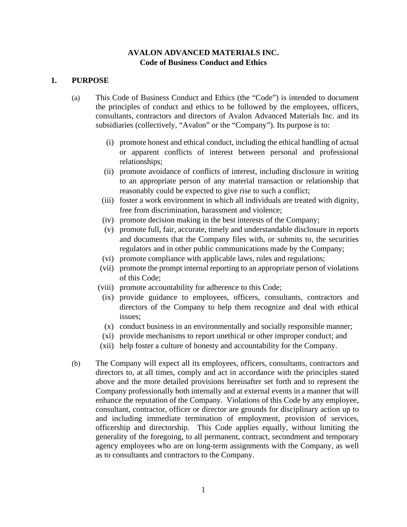## **AVALON ADVANCED MATERIALS INC. Code of Business Conduct and Ethics**

### **1. PURPOSE**

- (a) This Code of Business Conduct and Ethics (the "Code") is intended to document the principles of conduct and ethics to be followed by the employees, officers, consultants, contractors and directors of Avalon Advanced Materials Inc. and its subsidiaries (collectively, "Avalon" or the "Company"). Its purpose is to:
	- (i) promote honest and ethical conduct, including the ethical handling of actual or apparent conflicts of interest between personal and professional relationships;
	- (ii) promote avoidance of conflicts of interest, including disclosure in writing to an appropriate person of any material transaction or relationship that reasonably could be expected to give rise to such a conflict;
	- (iii) foster a work environment in which all individuals are treated with dignity, free from discrimination, harassment and violence;
	- (iv) promote decision making in the best interests of the Company;
	- (v) promote full, fair, accurate, timely and understandable disclosure in reports and documents that the Company files with, or submits to, the securities regulators and in other public communications made by the Company;
	- (vi) promote compliance with applicable laws, rules and regulations;
	- (vii) promote the prompt internal reporting to an appropriate person of violations of this Code;
	- (viii) promote accountability for adherence to this Code;
		- (ix) provide guidance to employees, officers, consultants, contractors and directors of the Company to help them recognize and deal with ethical issues;
		- (x) conduct business in an environmentally and socially responsible manner;
	- (xi) provide mechanisms to report unethical or other improper conduct; and
	- (xii) help foster a culture of honesty and accountability for the Company.
- (b) The Company will expect all its employees, officers, consultants, contractors and directors to, at all times, comply and act in accordance with the principles stated above and the more detailed provisions hereinafter set forth and to represent the Company professionally both internally and at external events in a manner that will enhance the reputation of the Company. Violations of this Code by any employee, consultant, contractor, officer or director are grounds for disciplinary action up to and including immediate termination of employment, provision of services, officership and directorship. This Code applies equally, without limiting the generality of the foregoing, to all permanent, contract, secondment and temporary agency employees who are on long-term assignments with the Company, as well as to consultants and contractors to the Company.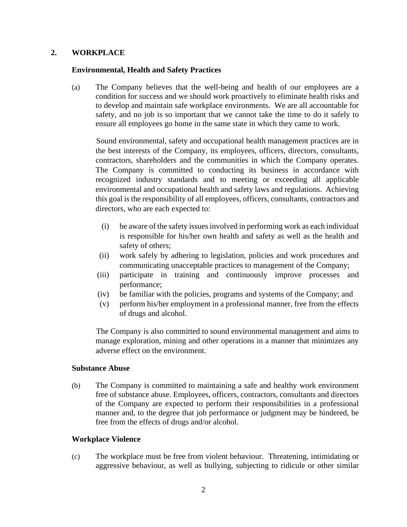### **2. WORKPLACE**

### **Environmental, Health and Safety Practices**

(a) The Company believes that the well-being and health of our employees are a condition for success and we should work proactively to eliminate health risks and to develop and maintain safe workplace environments. We are all accountable for safety, and no job is so important that we cannot take the time to do it safely to ensure all employees go home in the same state in which they came to work.

Sound environmental, safety and occupational health management practices are in the best interests of the Company, its employees, officers, directors, consultants, contractors, shareholders and the communities in which the Company operates. The Company is committed to conducting its business in accordance with recognized industry standards and to meeting or exceeding all applicable environmental and occupational health and safety laws and regulations. Achieving this goal is the responsibility of all employees, officers, consultants, contractors and directors, who are each expected to:

- (i) be aware of the safety issues involved in performing work as each individual is responsible for his/her own health and safety as well as the health and safety of others;
- (ii) work safely by adhering to legislation, policies and work procedures and communicating unacceptable practices to management of the Company;
- (iii) participate in training and continuously improve processes and performance;
- (iv) be familiar with the policies, programs and systems of the Company; and
- (v) perform his/her employment in a professional manner, free from the effects of drugs and alcohol.

The Company is also committed to sound environmental management and aims to manage exploration, mining and other operations in a manner that minimizes any adverse effect on the environment.

### **Substance Abuse**

(b) The Company is committed to maintaining a safe and healthy work environment free of substance abuse. Employees, officers, contractors, consultants and directors of the Company are expected to perform their responsibilities in a professional manner and, to the degree that job performance or judgment may be hindered, be free from the effects of drugs and/or alcohol.

### **Workplace Violence**

(c) The workplace must be free from violent behaviour. Threatening, intimidating or aggressive behaviour, as well as bullying, subjecting to ridicule or other similar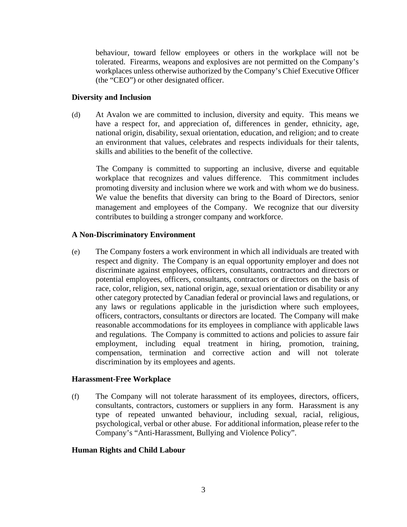behaviour, toward fellow employees or others in the workplace will not be tolerated. Firearms, weapons and explosives are not permitted on the Company's workplaces unless otherwise authorized by the Company's Chief Executive Officer (the "CEO") or other designated officer.

### **Diversity and Inclusion**

(d) At Avalon we are committed to inclusion, diversity and equity. This means we have a respect for, and appreciation of, differences in gender, ethnicity, age, national origin, disability, sexual orientation, education, and religion; and to create an environment that values, celebrates and respects individuals for their talents, skills and abilities to the benefit of the collective.

The Company is committed to supporting an inclusive, diverse and equitable workplace that recognizes and values difference. This commitment includes promoting diversity and inclusion where we work and with whom we do business. We value the benefits that diversity can bring to the Board of Directors, senior management and employees of the Company. We recognize that our diversity contributes to building a stronger company and workforce.

## **A Non-Discriminatory Environment**

(e) The Company fosters a work environment in which all individuals are treated with respect and dignity. The Company is an equal opportunity employer and does not discriminate against employees, officers, consultants, contractors and directors or potential employees, officers, consultants, contractors or directors on the basis of race, color, religion, sex, national origin, age, sexual orientation or disability or any other category protected by Canadian federal or provincial laws and regulations, or any laws or regulations applicable in the jurisdiction where such employees, officers, contractors, consultants or directors are located. The Company will make reasonable accommodations for its employees in compliance with applicable laws and regulations. The Company is committed to actions and policies to assure fair employment, including equal treatment in hiring, promotion, training, compensation, termination and corrective action and will not tolerate discrimination by its employees and agents.

### **Harassment-Free Workplace**

(f) The Company will not tolerate harassment of its employees, directors, officers, consultants, contractors, customers or suppliers in any form. Harassment is any type of repeated unwanted behaviour, including sexual, racial, religious, psychological, verbal or other abuse. For additional information, please refer to the Company's "Anti-Harassment, Bullying and Violence Policy".

### **Human Rights and Child Labour**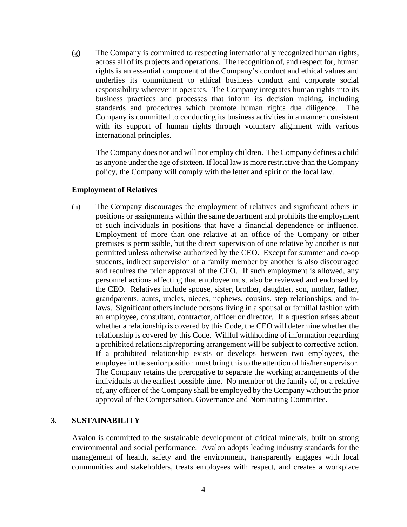(g) The Company is committed to respecting internationally recognized human rights, across all of its projects and operations. The recognition of, and respect for, human rights is an essential component of the Company's conduct and ethical values and underlies its commitment to ethical business conduct and corporate social responsibility wherever it operates. The Company integrates human rights into its business practices and processes that inform its decision making, including standards and procedures which promote human rights due diligence. The Company is committed to conducting its business activities in a manner consistent with its support of human rights through voluntary alignment with various international principles.

The Company does not and will not employ children. The Company defines a child as anyone under the age of sixteen. If local law is more restrictive than the Company policy, the Company will comply with the letter and spirit of the local law.

#### **Employment of Relatives**

(h) The Company discourages the employment of relatives and significant others in positions or assignments within the same department and prohibits the employment of such individuals in positions that have a financial dependence or influence. Employment of more than one relative at an office of the Company or other premises is permissible, but the direct supervision of one relative by another is not permitted unless otherwise authorized by the CEO. Except for summer and co-op students, indirect supervision of a family member by another is also discouraged and requires the prior approval of the CEO. If such employment is allowed, any personnel actions affecting that employee must also be reviewed and endorsed by the CEO. Relatives include spouse, sister, brother, daughter, son, mother, father, grandparents, aunts, uncles, nieces, nephews, cousins, step relationships, and inlaws. Significant others include persons living in a spousal or familial fashion with an employee, consultant, contractor, officer or director. If a question arises about whether a relationship is covered by this Code, the CEO will determine whether the relationship is covered by this Code. Willful withholding of information regarding a prohibited relationship/reporting arrangement will be subject to corrective action. If a prohibited relationship exists or develops between two employees, the employee in the senior position must bring this to the attention of his/her supervisor. The Company retains the prerogative to separate the working arrangements of the individuals at the earliest possible time. No member of the family of, or a relative of, any officer of the Company shall be employed by the Company without the prior approval of the Compensation, Governance and Nominating Committee.

### **3. SUSTAINABILITY**

Avalon is committed to the sustainable development of critical minerals, built on strong environmental and social performance. Avalon adopts leading industry standards for the management of health, safety and the environment, transparently engages with local communities and stakeholders, treats employees with respect, and creates a workplace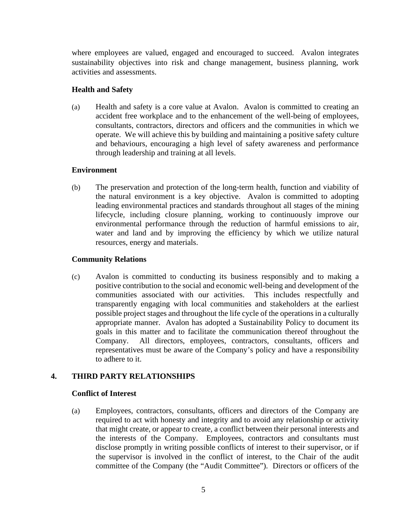where employees are valued, engaged and encouraged to succeed. Avalon integrates sustainability objectives into risk and change management, business planning, work activities and assessments.

## **Health and Safety**

(a) Health and safety is a core value at Avalon. Avalon is committed to creating an accident free workplace and to the enhancement of the well-being of employees, consultants, contractors, directors and officers and the communities in which we operate. We will achieve this by building and maintaining a positive safety culture and behaviours, encouraging a high level of safety awareness and performance through leadership and training at all levels.

## **Environment**

(b) The preservation and protection of the long-term health, function and viability of the natural environment is a key objective. Avalon is committed to adopting leading environmental practices and standards throughout all stages of the mining lifecycle, including closure planning, working to continuously improve our environmental performance through the reduction of harmful emissions to air, water and land and by improving the efficiency by which we utilize natural resources, energy and materials.

## **Community Relations**

(c) Avalon is committed to conducting its business responsibly and to making a positive contribution to the social and economic well-being and development of the communities associated with our activities. This includes respectfully and transparently engaging with local communities and stakeholders at the earliest possible project stages and throughout the life cycle of the operations in a culturally appropriate manner. Avalon has adopted a Sustainability Policy to document its goals in this matter and to facilitate the communication thereof throughout the Company. All directors, employees, contractors, consultants, officers and representatives must be aware of the Company's policy and have a responsibility to adhere to it.

# **4. THIRD PARTY RELATIONSHIPS**

### **Conflict of Interest**

(a) Employees, contractors, consultants, officers and directors of the Company are required to act with honesty and integrity and to avoid any relationship or activity that might create, or appear to create, a conflict between their personal interests and the interests of the Company. Employees, contractors and consultants must disclose promptly in writing possible conflicts of interest to their supervisor, or if the supervisor is involved in the conflict of interest, to the Chair of the audit committee of the Company (the "Audit Committee"). Directors or officers of the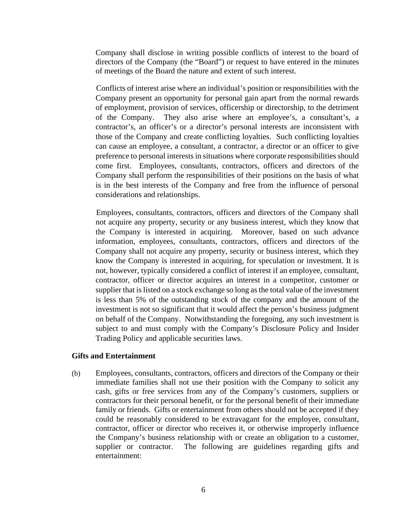Company shall disclose in writing possible conflicts of interest to the board of directors of the Company (the "Board") or request to have entered in the minutes of meetings of the Board the nature and extent of such interest.

Conflicts of interest arise where an individual's position or responsibilities with the Company present an opportunity for personal gain apart from the normal rewards of employment, provision of services, officership or directorship, to the detriment of the Company. They also arise where an employee's, a consultant's, a contractor's, an officer's or a director's personal interests are inconsistent with those of the Company and create conflicting loyalties. Such conflicting loyalties can cause an employee, a consultant, a contractor, a director or an officer to give preference to personal interests in situations where corporate responsibilities should come first. Employees, consultants, contractors, officers and directors of the Company shall perform the responsibilities of their positions on the basis of what is in the best interests of the Company and free from the influence of personal considerations and relationships.

Employees, consultants, contractors, officers and directors of the Company shall not acquire any property, security or any business interest, which they know that the Company is interested in acquiring. Moreover, based on such advance information, employees, consultants, contractors, officers and directors of the Company shall not acquire any property, security or business interest, which they know the Company is interested in acquiring, for speculation or investment. It is not, however, typically considered a conflict of interest if an employee, consultant, contractor, officer or director acquires an interest in a competitor, customer or supplier that is listed on a stock exchange so long as the total value of the investment is less than 5% of the outstanding stock of the company and the amount of the investment is not so significant that it would affect the person's business judgment on behalf of the Company. Notwithstanding the foregoing, any such investment is subject to and must comply with the Company's Disclosure Policy and Insider Trading Policy and applicable securities laws.

#### **Gifts and Entertainment**

(b) Employees, consultants, contractors, officers and directors of the Company or their immediate families shall not use their position with the Company to solicit any cash, gifts or free services from any of the Company's customers, suppliers or contractors for their personal benefit, or for the personal benefit of their immediate family or friends. Gifts or entertainment from others should not be accepted if they could be reasonably considered to be extravagant for the employee, consultant, contractor, officer or director who receives it, or otherwise improperly influence the Company's business relationship with or create an obligation to a customer, supplier or contractor. The following are guidelines regarding gifts and entertainment: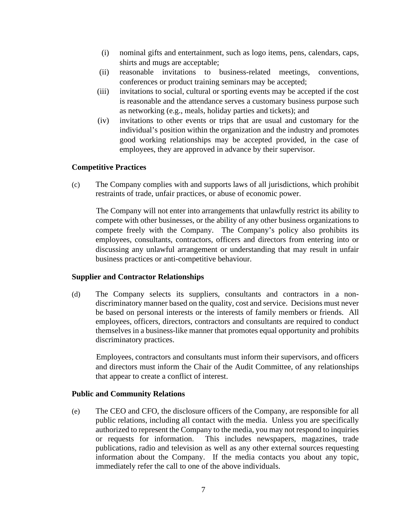- (i) nominal gifts and entertainment, such as logo items, pens, calendars, caps, shirts and mugs are acceptable;
- (ii) reasonable invitations to business-related meetings, conventions, conferences or product training seminars may be accepted;
- (iii) invitations to social, cultural or sporting events may be accepted if the cost is reasonable and the attendance serves a customary business purpose such as networking (e.g., meals, holiday parties and tickets); and
- (iv) invitations to other events or trips that are usual and customary for the individual's position within the organization and the industry and promotes good working relationships may be accepted provided, in the case of employees, they are approved in advance by their supervisor.

### **Competitive Practices**

(c) The Company complies with and supports laws of all jurisdictions, which prohibit restraints of trade, unfair practices, or abuse of economic power.

The Company will not enter into arrangements that unlawfully restrict its ability to compete with other businesses, or the ability of any other business organizations to compete freely with the Company. The Company's policy also prohibits its employees, consultants, contractors, officers and directors from entering into or discussing any unlawful arrangement or understanding that may result in unfair business practices or anti-competitive behaviour.

### **Supplier and Contractor Relationships**

(d) The Company selects its suppliers, consultants and contractors in a nondiscriminatory manner based on the quality, cost and service. Decisions must never be based on personal interests or the interests of family members or friends. All employees, officers, directors, contractors and consultants are required to conduct themselves in a business-like manner that promotes equal opportunity and prohibits discriminatory practices.

Employees, contractors and consultants must inform their supervisors, and officers and directors must inform the Chair of the Audit Committee, of any relationships that appear to create a conflict of interest.

### **Public and Community Relations**

(e) The CEO and CFO, the disclosure officers of the Company, are responsible for all public relations, including all contact with the media. Unless you are specifically authorized to represent the Company to the media, you may not respond to inquiries or requests for information. This includes newspapers, magazines, trade publications, radio and television as well as any other external sources requesting information about the Company. If the media contacts you about any topic, immediately refer the call to one of the above individuals.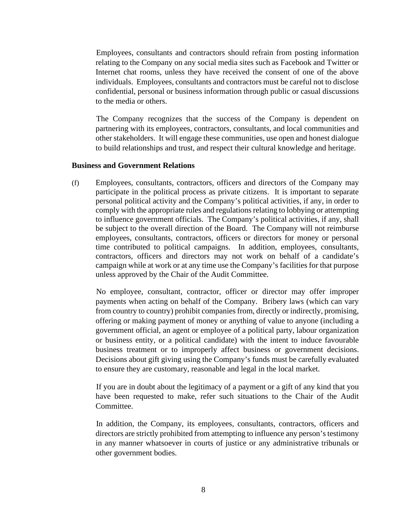Employees, consultants and contractors should refrain from posting information relating to the Company on any social media sites such as Facebook and Twitter or Internet chat rooms, unless they have received the consent of one of the above individuals. Employees, consultants and contractors must be careful not to disclose confidential, personal or business information through public or casual discussions to the media or others.

The Company recognizes that the success of the Company is dependent on partnering with its employees, contractors, consultants, and local communities and other stakeholders. It will engage these communities, use open and honest dialogue to build relationships and trust, and respect their cultural knowledge and heritage.

#### **Business and Government Relations**

(f) Employees, consultants, contractors, officers and directors of the Company may participate in the political process as private citizens. It is important to separate personal political activity and the Company's political activities, if any, in order to comply with the appropriate rules and regulations relating to lobbying or attempting to influence government officials. The Company's political activities, if any, shall be subject to the overall direction of the Board. The Company will not reimburse employees, consultants, contractors, officers or directors for money or personal time contributed to political campaigns. In addition, employees, consultants, contractors, officers and directors may not work on behalf of a candidate's campaign while at work or at any time use the Company's facilities for that purpose unless approved by the Chair of the Audit Committee.

No employee, consultant, contractor, officer or director may offer improper payments when acting on behalf of the Company. Bribery laws (which can vary from country to country) prohibit companies from, directly or indirectly, promising, offering or making payment of money or anything of value to anyone (including a government official, an agent or employee of a political party, labour organization or business entity, or a political candidate) with the intent to induce favourable business treatment or to improperly affect business or government decisions. Decisions about gift giving using the Company's funds must be carefully evaluated to ensure they are customary, reasonable and legal in the local market.

If you are in doubt about the legitimacy of a payment or a gift of any kind that you have been requested to make, refer such situations to the Chair of the Audit Committee.

In addition, the Company, its employees, consultants, contractors, officers and directors are strictly prohibited from attempting to influence any person's testimony in any manner whatsoever in courts of justice or any administrative tribunals or other government bodies.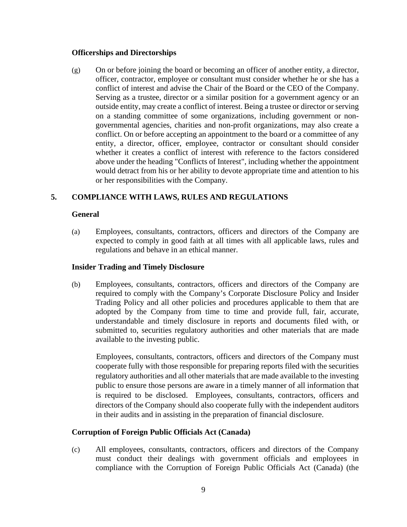### **Officerships and Directorships**

(g) On or before joining the board or becoming an officer of another entity, a director, officer, contractor, employee or consultant must consider whether he or she has a conflict of interest and advise the Chair of the Board or the CEO of the Company. Serving as a trustee, director or a similar position for a government agency or an outside entity, may create a conflict of interest. Being a trustee or director or serving on a standing committee of some organizations, including government or nongovernmental agencies, charities and non-profit organizations, may also create a conflict. On or before accepting an appointment to the board or a committee of any entity, a director, officer, employee, contractor or consultant should consider whether it creates a conflict of interest with reference to the factors considered above under the heading "Conflicts of Interest", including whether the appointment would detract from his or her ability to devote appropriate time and attention to his or her responsibilities with the Company.

### **5. COMPLIANCE WITH LAWS, RULES AND REGULATIONS**

### **General**

(a) Employees, consultants, contractors, officers and directors of the Company are expected to comply in good faith at all times with all applicable laws, rules and regulations and behave in an ethical manner.

### **Insider Trading and Timely Disclosure**

(b) Employees, consultants, contractors, officers and directors of the Company are required to comply with the Company's Corporate Disclosure Policy and Insider Trading Policy and all other policies and procedures applicable to them that are adopted by the Company from time to time and provide full, fair, accurate, understandable and timely disclosure in reports and documents filed with, or submitted to, securities regulatory authorities and other materials that are made available to the investing public.

Employees, consultants, contractors, officers and directors of the Company must cooperate fully with those responsible for preparing reports filed with the securities regulatory authorities and all other materials that are made available to the investing public to ensure those persons are aware in a timely manner of all information that is required to be disclosed. Employees, consultants, contractors, officers and directors of the Company should also cooperate fully with the independent auditors in their audits and in assisting in the preparation of financial disclosure.

### **Corruption of Foreign Public Officials Act (Canada)**

(c) All employees, consultants, contractors, officers and directors of the Company must conduct their dealings with government officials and employees in compliance with the Corruption of Foreign Public Officials Act (Canada) (the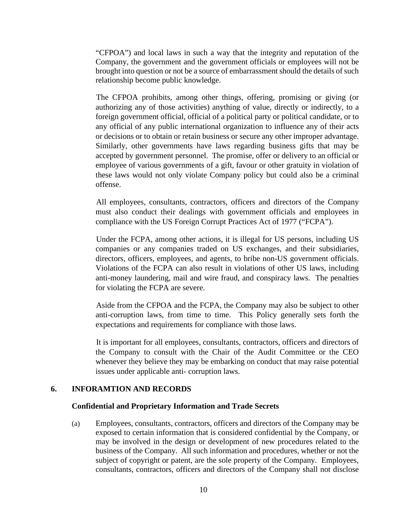"CFPOA") and local laws in such a way that the integrity and reputation of the Company, the government and the government officials or employees will not be brought into question or not be a source of embarrassment should the details of such relationship become public knowledge.

The CFPOA prohibits, among other things, offering, promising or giving (or authorizing any of those activities) anything of value, directly or indirectly, to a foreign government official, official of a political party or political candidate, or to any official of any public international organization to influence any of their acts or decisions or to obtain or retain business or secure any other improper advantage. Similarly, other governments have laws regarding business gifts that may be accepted by government personnel. The promise, offer or delivery to an official or employee of various governments of a gift, favour or other gratuity in violation of these laws would not only violate Company policy but could also be a criminal offense.

All employees, consultants, contractors, officers and directors of the Company must also conduct their dealings with government officials and employees in compliance with the US Foreign Corrupt Practices Act of 1977 ("FCPA").

Under the FCPA, among other actions, it is illegal for US persons, including US companies or any companies traded on US exchanges, and their subsidiaries, directors, officers, employees, and agents, to bribe non-US government officials. Violations of the FCPA can also result in violations of other US laws, including anti-money laundering, mail and wire fraud, and conspiracy laws. The penalties for violating the FCPA are severe.

Aside from the CFPOA and the FCPA, the Company may also be subject to other anti-corruption laws, from time to time. This Policy generally sets forth the expectations and requirements for compliance with those laws.

It is important for all employees, consultants, contractors, officers and directors of the Company to consult with the Chair of the Audit Committee or the CEO whenever they believe they may be embarking on conduct that may raise potential issues under applicable anti- corruption laws.

#### **6. INFORAMTION AND RECORDS**

#### **Confidential and Proprietary Information and Trade Secrets**

(a) Employees, consultants, contractors, officers and directors of the Company may be exposed to certain information that is considered confidential by the Company, or may be involved in the design or development of new procedures related to the business of the Company. All such information and procedures, whether or not the subject of copyright or patent, are the sole property of the Company. Employees, consultants, contractors, officers and directors of the Company shall not disclose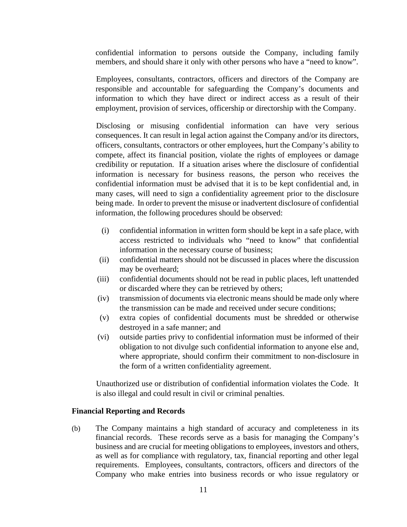confidential information to persons outside the Company, including family members, and should share it only with other persons who have a "need to know".

Employees, consultants, contractors, officers and directors of the Company are responsible and accountable for safeguarding the Company's documents and information to which they have direct or indirect access as a result of their employment, provision of services, officership or directorship with the Company.

Disclosing or misusing confidential information can have very serious consequences. It can result in legal action against the Company and/or its directors, officers, consultants, contractors or other employees, hurt the Company's ability to compete, affect its financial position, violate the rights of employees or damage credibility or reputation. If a situation arises where the disclosure of confidential information is necessary for business reasons, the person who receives the confidential information must be advised that it is to be kept confidential and, in many cases, will need to sign a confidentiality agreement prior to the disclosure being made. In order to prevent the misuse or inadvertent disclosure of confidential information, the following procedures should be observed:

- (i) confidential information in written form should be kept in a safe place, with access restricted to individuals who "need to know" that confidential information in the necessary course of business;
- (ii) confidential matters should not be discussed in places where the discussion may be overheard;
- (iii) confidential documents should not be read in public places, left unattended or discarded where they can be retrieved by others;
- (iv) transmission of documents via electronic means should be made only where the transmission can be made and received under secure conditions;
- (v) extra copies of confidential documents must be shredded or otherwise destroyed in a safe manner; and
- (vi) outside parties privy to confidential information must be informed of their obligation to not divulge such confidential information to anyone else and, where appropriate, should confirm their commitment to non-disclosure in the form of a written confidentiality agreement.

Unauthorized use or distribution of confidential information violates the Code. It is also illegal and could result in civil or criminal penalties.

#### **Financial Reporting and Records**

(b) The Company maintains a high standard of accuracy and completeness in its financial records. These records serve as a basis for managing the Company's business and are crucial for meeting obligations to employees, investors and others, as well as for compliance with regulatory, tax, financial reporting and other legal requirements. Employees, consultants, contractors, officers and directors of the Company who make entries into business records or who issue regulatory or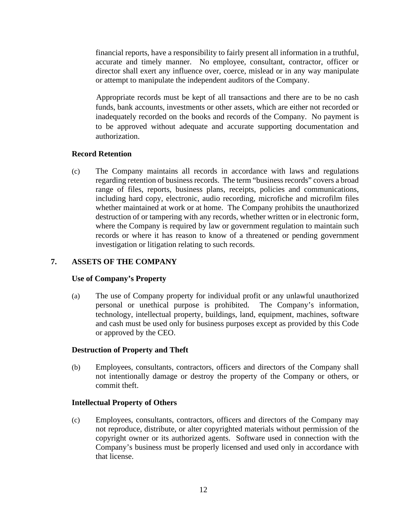financial reports, have a responsibility to fairly present all information in a truthful, accurate and timely manner. No employee, consultant, contractor, officer or director shall exert any influence over, coerce, mislead or in any way manipulate or attempt to manipulate the independent auditors of the Company.

Appropriate records must be kept of all transactions and there are to be no cash funds, bank accounts, investments or other assets, which are either not recorded or inadequately recorded on the books and records of the Company. No payment is to be approved without adequate and accurate supporting documentation and authorization.

# **Record Retention**

(c) The Company maintains all records in accordance with laws and regulations regarding retention of business records. The term "business records" covers a broad range of files, reports, business plans, receipts, policies and communications, including hard copy, electronic, audio recording, microfiche and microfilm files whether maintained at work or at home. The Company prohibits the unauthorized destruction of or tampering with any records, whether written or in electronic form, where the Company is required by law or government regulation to maintain such records or where it has reason to know of a threatened or pending government investigation or litigation relating to such records.

# **7. ASSETS OF THE COMPANY**

### **Use of Company's Property**

(a) The use of Company property for individual profit or any unlawful unauthorized personal or unethical purpose is prohibited. The Company's information, technology, intellectual property, buildings, land, equipment, machines, software and cash must be used only for business purposes except as provided by this Code or approved by the CEO.

### **Destruction of Property and Theft**

(b) Employees, consultants, contractors, officers and directors of the Company shall not intentionally damage or destroy the property of the Company or others, or commit theft.

### **Intellectual Property of Others**

(c) Employees, consultants, contractors, officers and directors of the Company may not reproduce, distribute, or alter copyrighted materials without permission of the copyright owner or its authorized agents. Software used in connection with the Company's business must be properly licensed and used only in accordance with that license.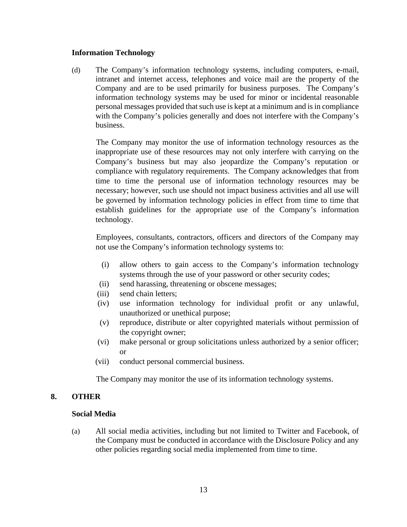### **Information Technology**

(d) The Company's information technology systems, including computers, e-mail, intranet and internet access, telephones and voice mail are the property of the Company and are to be used primarily for business purposes. The Company's information technology systems may be used for minor or incidental reasonable personal messages provided that such use is kept at a minimum and is in compliance with the Company's policies generally and does not interfere with the Company's business.

The Company may monitor the use of information technology resources as the inappropriate use of these resources may not only interfere with carrying on the Company's business but may also jeopardize the Company's reputation or compliance with regulatory requirements. The Company acknowledges that from time to time the personal use of information technology resources may be necessary; however, such use should not impact business activities and all use will be governed by information technology policies in effect from time to time that establish guidelines for the appropriate use of the Company's information technology.

Employees, consultants, contractors, officers and directors of the Company may not use the Company's information technology systems to:

- (i) allow others to gain access to the Company's information technology systems through the use of your password or other security codes;
- (ii) send harassing, threatening or obscene messages;
- (iii) send chain letters;
- (iv) use information technology for individual profit or any unlawful, unauthorized or unethical purpose;
- (v) reproduce, distribute or alter copyrighted materials without permission of the copyright owner;
- (vi) make personal or group solicitations unless authorized by a senior officer; or
- (vii) conduct personal commercial business.

The Company may monitor the use of its information technology systems.

### **8. OTHER**

### **Social Media**

(a) All social media activities, including but not limited to Twitter and Facebook, of the Company must be conducted in accordance with the Disclosure Policy and any other policies regarding social media implemented from time to time.